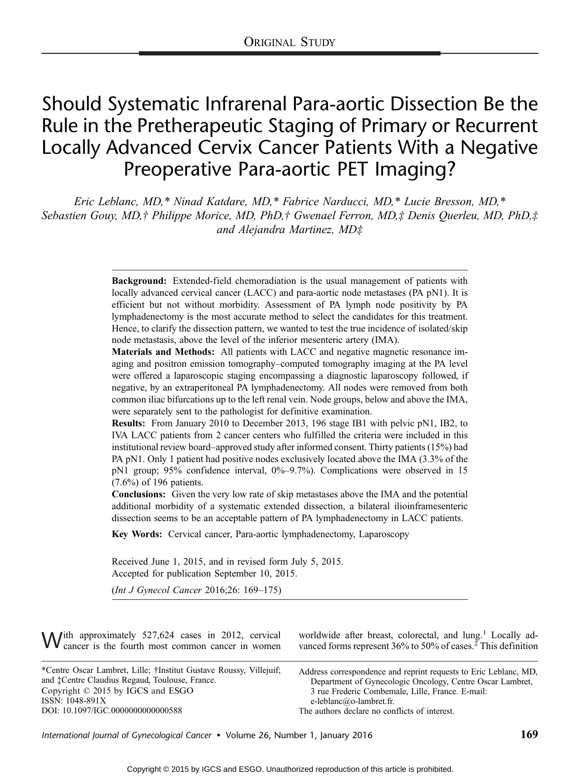# Should Systematic Infrarenal Para-aortic Dissection Be the Rule in the Pretherapeutic Staging of Primary or Recurrent Locally Advanced Cervix Cancer Patients With a Negative Preoperative Para-aortic PET Imaging?

Eric Leblanc, MD,\* Ninad Katdare, MD,\* Fabrice Narducci, MD,\* Lucie Bresson, MD,\* Sebastien Gouy, MD,† Philippe Morice, MD, PhD,† Gwenael Ferron, MD,‡ Denis Querleu, MD, PhD,‡ and Alejandra Martinez,  $MD\ddagger$ 

> Background: Extended-field chemoradiation is the usual management of patients with locally advanced cervical cancer (LACC) and para-aortic node metastases (PA pN1). It is efficient but not without morbidity. Assessment of PA lymph node positivity by PA lymphadenectomy is the most accurate method to select the candidates for this treatment. Hence, to clarify the dissection pattern, we wanted to test the true incidence of isolated/skip node metastasis, above the level of the inferior mesenteric artery (IMA).

> Materials and Methods: All patients with LACC and negative magnetic resonance imaging and positron emission tomography-computed tomography imaging at the PA level were offered a laparoscopic staging encompassing a diagnostic laparoscopy followed, if negative, by an extraperitoneal PA lymphadenectomy. All nodes were removed from both common iliac bifurcations up to the left renal vein. Node groups, below and above the IMA, were separately sent to the pathologist for definitive examination.

> Results: From January 2010 to December 2013, 196 stage IB1 with pelvic pN1, IB2, to IVA LACC patients from 2 cancer centers who fulfilled the criteria were included in this institutional review board-approved study after informed consent. Thirty patients  $(15%)$  had PA pN1. Only 1 patient had positive nodes exclusively located above the IMA (3.3% of the pN1 group; 95% confidence interval,  $0\%$ -9.7%). Complications were observed in 15 (7.6%) of 196 patients.

> Conclusions: Given the very low rate of skip metastases above the IMA and the potential additional morbidity of a systematic extended dissection, a bilateral ilioinframesenteric dissection seems to be an acceptable pattern of PA lymphadenectomy in LACC patients.

Key Words: Cervical cancer, Para-aortic lymphadenectomy, Laparoscopy

Received June 1, 2015, and in revised form July 5, 2015. Accepted for publication September 10, 2015.

 $(Int J Gvnecol Cancer 2016;26: 169-175)$ 

 $\bigvee$ ith approximately 527,624 cases in 2012, cervical cancer is the fourth most common cancer in women

worldwide after breast, colorectal, and lung.<sup>1</sup> Locally advanced forms represent 36% to 50% of cases.<sup>2</sup> This definition

\*Centre Oscar Lambret, Lille; †Institut Gustave Roussy, Villejuif; and ‡Centre Claudius Regaud, Toulouse, France. Copyright  $©$  2015 by IGCS and ESGO ISSN: 1048-891X DOI: 10.1097/IGC.0000000000000588

Address correspondence and reprint requests to Eric Leblanc, MD, Department of Gynecologic Oncology, Centre Oscar Lambret, 3 rue Frederic Combemale, Lille, France. E-mail: e-leblanc@o-lambret.fr. The authors declare no conflicts of interest.

International Journal of Gynecological Cancer • Volume 26, Number 1, January 2016 169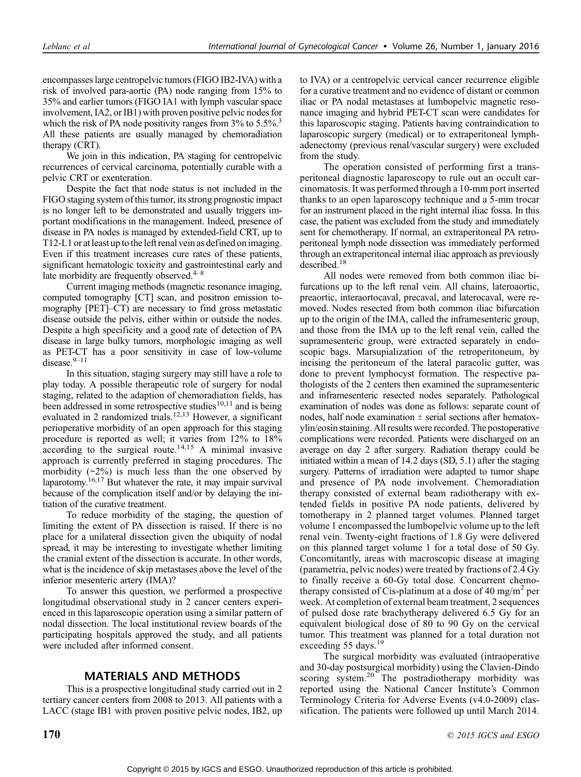encompasses large centropelvic tumors (FIGO IB2-IVA) with a risk of involved para-aortic (PA) node ranging from 15% to 35% and earlier tumors (FIGO IA1 with lymph vascular space involvement, IA2, or IB1) with proven positive pelvic nodes for which the risk of PA node positivity ranges from  $3\%$  to  $5.5\%$ <sup>3</sup> All these patients are usually managed by chemoradiation therapy (CRT).

We join in this indication, PA staging for centropelvic recurrences of cervical carcinoma, potentially curable with a pelvic CRT or exenteration.

Despite the fact that node status is not included in the FIGO staging system of this tumor, its strong prognostic impact is no longer left to be demonstrated and usually triggers important modifications in the management. Indeed, presence of disease in PA nodes is managed by extended-field CRT, up to T12-L1 or at least upto the left renal vein as defined on imaging. Even if this treatment increases cure rates of these patients, significant hematologic toxicity and gastrointestinal early and late morbidity are frequently observed. $4-8$ 

Current imaging methods (magnetic resonance imaging, computed tomography [CT] scan, and positron emission tomography  $[PET]-CT$ ) are necessary to find gross metastatic disease outside the pelvis, either within or outside the nodes. Despite a high specificity and a good rate of detection of PA disease in large bulky tumors, morphologic imaging as well as PET-CT has a poor sensitivity in case of low-volume disease. $9-11$ 

In this situation, staging surgery may still have a role to play today. A possible therapeutic role of surgery for nodal staging, related to the adaption of chemoradiation fields, has been addressed in some retrospective studies<sup>10,11</sup> and is being evaluated in 2 randomized trials.<sup>12,13</sup> However, a significant perioperative morbidity of an open approach for this staging procedure is reported as well; it varies from 12% to 18%  $\alpha$  according to the surgical route.<sup>14,15</sup> A minimal invasive approach is currently preferred in staging procedures. The morbidity  $(\sim 2\%)$  is much less than the one observed by laparotomy.<sup>16,17</sup> But whatever the rate, it may impair survival because of the complication itself and/or by delaying the initiation of the curative treatment.

To reduce morbidity of the staging, the question of limiting the extent of PA dissection is raised. If there is no place for a unilateral dissection given the ubiquity of nodal spread, it may be interesting to investigate whether limiting the cranial extent of the dissection is accurate. In other words, what is the incidence of skip metastases above the level of the inferior mesenteric artery (IMA)?

To answer this question, we performed a prospective longitudinal observational study in 2 cancer centers experienced in this laparoscopic operation using a similar pattern of nodal dissection. The local institutional review boards of the participating hospitals approved the study, and all patients were included after informed consent.

## MATERIALS AND METHODS

This is a prospective longitudinal study carried out in 2 tertiary cancer centers from 2008 to 2013. All patients with a LACC (stage IB1 with proven positive pelvic nodes, IB2, up to IVA) or a centropelvic cervical cancer recurrence eligible for a curative treatment and no evidence of distant or common iliac or PA nodal metastases at lumbopelvic magnetic resonance imaging and hybrid PET-CT scan were candidates for this laparoscopic staging. Patients having contraindication to laparoscopic surgery (medical) or to extraperitoneal lymphadenectomy (previous renal/vascular surgery) were excluded from the study.

The operation consisted of performing first a transperitoneal diagnostic laparoscopy to rule out an occult carcinomatosis. It was performed through a 10-mm port inserted thanks to an open laparoscopy technique and a 5-mm trocar for an instrument placed in the right internal iliac fossa. In this case, the patient was excluded from the study and immediately sent for chemotherapy. If normal, an extraperitoneal PA retroperitoneal lymph node dissection was immediately performed through an extraperitoneal internal iliac approach as previously described. $18$ 

All nodes were removed from both common iliac bifurcations up to the left renal vein. All chains, lateroaortic, preaortic, interaortocaval, precaval, and laterocaval, were removed. Nodes resected from both common iliac bifurcation up to the origin of the IMA, called the inframesenteric group, and those from the IMA up to the left renal vein, called the supramesenteric group, were extracted separately in endoscopic bags. Marsupialization of the retroperitoneum, by incising the peritoneum of the lateral paracolic gutter, was done to prevent lymphocyst formation. The respective pathologists of the 2 centers then examined the supramesenteric and inframesenteric resected nodes separately. Pathological examination of nodes was done as follows: separate count of nodes, half node examination  $\pm$  serial sections after hematoxylin/eosin staining. All results were recorded. The postoperative complications were recorded. Patients were discharged on an average on day 2 after surgery. Radiation therapy could be initiated within a mean of 14.2 days (SD, 5.1) after the staging surgery. Patterns of irradiation were adapted to tumor shape and presence of PA node involvement. Chemoradiation therapy consisted of external beam radiotherapy with extended fields in positive PA node patients, delivered by tomotherapy in 2 planned target volumes. Planned target volume 1 encompassed the lumbopelvic volume up to the left renal vein. Twenty-eight fractions of 1.8 Gy were delivered on this planned target volume 1 for a total dose of 50 Gy. Concomitantly, areas with macroscopic disease at imaging (parametria, pelvic nodes) were treated by fractions of 2.4 Gy to finally receive a 60-Gy total dose. Concurrent chemotherapy consisted of Cis-platinum at a dose of 40 mg/m<sup>2</sup> per week. At completion of external beam treatment, 2 sequences of pulsed dose rate brachytherapy delivered 6.5 Gy for an equivalent biological dose of 80 to 90 Gy on the cervical tumor. This treatment was planned for a total duration not exceeding 55 days.<sup>19</sup>

The surgical morbidity was evaluated (intraoperative and 30-day postsurgical morbidity) using the Clavien-Dindo scoring system.<sup>20</sup> The postradiotherapy morbidity was reported using the National Cancer Institute's Common Terminology Criteria for Adverse Events (v4.0-2009) classification. The patients were followed up until March 2014.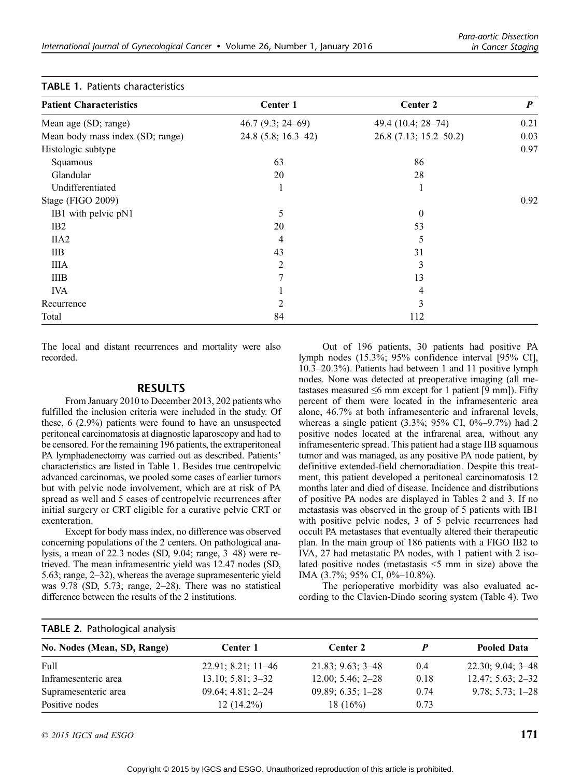| <b>Patient Characteristics</b>   | Center 1             | Center 2               | $\boldsymbol{P}$ |
|----------------------------------|----------------------|------------------------|------------------|
|                                  |                      |                        |                  |
| Mean age (SD; range)             | $46.7(9.3; 24-69)$   | 49.4 (10.4; 28-74)     | 0.21             |
| Mean body mass index (SD; range) | $24.8(5.8; 16.3-42)$ | 26.8 (7.13; 15.2–50.2) | 0.03             |
| Histologic subtype               |                      |                        | 0.97             |
| Squamous                         | 63                   | 86                     |                  |
| Glandular                        | 20                   | 28                     |                  |
| Undifferentiated                 | 1                    |                        |                  |
| Stage (FIGO 2009)                |                      |                        | 0.92             |
| IB1 with pelvic pN1              | 5                    | $\theta$               |                  |
| IB <sub>2</sub>                  | 20                   | 53                     |                  |
| IIA <sub>2</sub>                 | 4                    | 5                      |                  |
| IIB                              | 43                   | 31                     |                  |
| <b>IIIA</b>                      | 2                    | 3                      |                  |
| <b>IIIB</b>                      | 7                    | 13                     |                  |
| <b>IVA</b>                       |                      | 4                      |                  |
| Recurrence                       | 2                    | 3                      |                  |
| Total                            | 84                   | 112                    |                  |

#### TABLE 1. Patients characteristics

The local and distant recurrences and mortality were also recorded.

#### RESULTS

From January 2010 to December 2013, 202 patients who fulfilled the inclusion criteria were included in the study. Of these, 6 (2.9%) patients were found to have an unsuspected peritoneal carcinomatosis at diagnostic laparoscopy and had to be censored. For the remaining 196 patients, the extraperitoneal PA lymphadenectomy was carried out as described. Patients' characteristics are listed in Table 1. Besides true centropelvic advanced carcinomas, we pooled some cases of earlier tumors but with pelvic node involvement, which are at risk of PA spread as well and 5 cases of centropelvic recurrences after initial surgery or CRT eligible for a curative pelvic CRT or exenteration.

Except for body mass index, no difference was observed concerning populations of the 2 centers. On pathological analysis, a mean of  $22.3$  nodes (SD,  $9.04$ ; range,  $3-48$ ) were retrieved. The mean inframesentric yield was 12.47 nodes (SD, 5.63; range,  $2-32$ ), whereas the average supramesenteric yield was  $9.78$  (SD,  $5.73$ ; range,  $2-28$ ). There was no statistical difference between the results of the 2 institutions.

Out of 196 patients, 30 patients had positive PA lymph nodes (15.3%; 95% confidence interval [95% CI],  $10.3-20.3%$ ). Patients had between 1 and 11 positive lymph nodes. None was detected at preoperative imaging (all metastases measured  $\leq 6$  mm except for 1 patient [9 mm]). Fifty percent of them were located in the inframesenteric area alone, 46.7% at both inframesenteric and infrarenal levels, whereas a single patient (3.3%; 95% CI, 0%-9.7%) had 2 positive nodes located at the infrarenal area, without any inframesenteric spread. This patient had a stage IIB squamous tumor and was managed, as any positive PA node patient, by definitive extended-field chemoradiation. Despite this treatment, this patient developed a peritoneal carcinomatosis 12 months later and died of disease. Incidence and distributions of positive PA nodes are displayed in Tables 2 and 3. If no metastasis was observed in the group of 5 patients with IB1 with positive pelvic nodes, 3 of 5 pelvic recurrences had occult PA metastases that eventually altered their therapeutic plan. In the main group of 186 patients with a FIGO IB2 to IVA, 27 had metastatic PA nodes, with 1 patient with 2 isolated positive nodes (metastasis  $\leq$ 5 mm in size) above the IMA (3.7%; 95% CI, 0%-10.8%).

The perioperative morbidity was also evaluated according to the Clavien-Dindo scoring system (Table 4). Two

| <b>TABLE 2. Pathological analysis</b> |                      |                       |      |                       |
|---------------------------------------|----------------------|-----------------------|------|-----------------------|
| No. Nodes (Mean, SD, Range)           | Center 1             | Center 2              | p    | <b>Pooled Data</b>    |
| Full                                  | $22.91; 8.21; 11-46$ | $21.83; 9.63; 3 - 48$ | 0.4  | $22.30; 9.04; 3 - 48$ |
| Inframesenteric area                  | $13.10; 5.81; 3-32$  | $12.00; 5.46; 2-28$   | 0.18 | $12.47; 5.63; 2 - 32$ |
| Supramesenteric area                  | $09.64; 4.81; 2-24$  | $09.89; 6.35; 1-28$   | 0.74 | $9.78; 5.73; 1 - 28$  |
| Positive nodes                        | $12(14.2\%)$         | 18(16%)               | 0.73 |                       |

 $\degree$  2015 IGCS and ESGO 171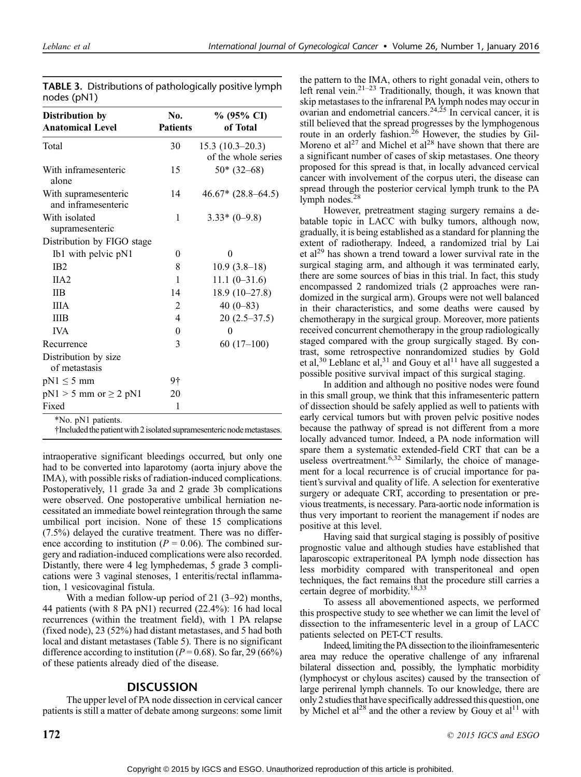| Distribution by<br><b>Anatomical Level</b>  | No.<br><b>Patients</b> | % (95% CI)<br>of Total                   |
|---------------------------------------------|------------------------|------------------------------------------|
| Total                                       | 30                     | $15.3(10.3-20.3)$<br>of the whole series |
| With inframesenteric<br>alone               | 15                     | $50*(32-68)$                             |
| With supramesenteric<br>and inframesenteric | 14                     | $46.67* (28.8–64.5)$                     |
| With isolated<br>supramesenteric            | 1                      | $3.33*(0-9.8)$                           |
| Distribution by FIGO stage                  |                        |                                          |
| Ib1 with pelvic pN1                         | $\theta$               | 0                                        |
| IB <sub>2</sub>                             | 8                      | $10.9(3.8-18)$                           |
| IIA2                                        | 1                      | $11.1(0-31.6)$                           |
| <b>IIB</b>                                  | 14                     | $18.9(10-27.8)$                          |
| <b>IIIA</b>                                 | $\mathfrak{D}$         | 40 $(0-83)$                              |
| <b>IIIB</b>                                 | 4                      | $20(2.5-37.5)$                           |
| <b>IVA</b>                                  | $\theta$               | 0                                        |
| Recurrence                                  | 3                      | $60(17-100)$                             |
| Distribution by size<br>of metastasis       |                        |                                          |
| $pN1 \leq 5$ mm                             | 9†                     |                                          |
| $pN1 > 5$ mm or $\geq 2$ $pN1$              | 20                     |                                          |
| Fixed                                       | 1                      |                                          |
| *No. pN1 patients.                          |                        |                                          |

TABLE 3. Distributions of pathologically positive lymph nodes (pN1)

†Includedthe patient with 2isolated supramesenteric nodemetastases.

intraoperative significant bleedings occurred, but only one had to be converted into laparotomy (aorta injury above the IMA), with possible risks of radiation-induced complications. Postoperatively, 11 grade 3a and 2 grade 3b complications were observed. One postoperative umbilical herniation necessitated an immediate bowel reintegration through the same umbilical port incision. None of these 15 complications (7.5%) delayed the curative treatment. There was no difference according to institution ( $P = 0.06$ ). The combined surgery and radiation-induced complications were also recorded. Distantly, there were 4 leg lymphedemas, 5 grade 3 complications were 3 vaginal stenoses, 1 enteritis/rectal inflammation, 1 vesicovaginal fistula.

With a median follow-up period of  $21$  (3-92) months, 44 patients (with 8 PA pN1) recurred (22.4%): 16 had local recurrences (within the treatment field), with 1 PA relapse (fixed node), 23 (52%) had distant metastases, and 5 had both local and distant metastases (Table 5). There is no significant difference according to institution ( $P = 0.68$ ). So far, 29 (66%) of these patients already died of the disease.

# DISCUSSION

The upper level of PA node dissection in cervical cancer patients is still a matter of debate among surgeons: some limit

the pattern to the IMA, others to right gonadal vein, others to left renal vein.<sup>21-23</sup> Traditionally, though, it was known that skip metastases to the infrarenal PA lymph nodes may occur in ovarian and endometrial cancers.<sup>24,25</sup> In cervical cancer, it is still believed that the spread progresses by the lymphogenous route in an orderly fashion.<sup>26</sup> However, the studies by Gil-Moreno et al<sup>27</sup> and Michel et al<sup>28</sup> have shown that there are a significant number of cases of skip metastases. One theory proposed for this spread is that, in locally advanced cervical cancer with involvement of the corpus uteri, the disease can spread through the posterior cervical lymph trunk to the PA lymph nodes.<sup>28</sup>

However, pretreatment staging surgery remains a debatable topic in LACC with bulky tumors, although now, gradually, it is being established as a standard for planning the extent of radiotherapy. Indeed, a randomized trial by Lai et al<sup>29</sup> has shown a trend toward a lower survival rate in the surgical staging arm, and although it was terminated early, there are some sources of bias in this trial. In fact, this study encompassed 2 randomized trials (2 approaches were randomized in the surgical arm). Groups were not well balanced in their characteristics, and some deaths were caused by chemotherapy in the surgical group. Moreover, more patients received concurrent chemotherapy in the group radiologically staged compared with the group surgically staged. By contrast, some retrospective nonrandomized studies by Gold et al,<sup>30</sup> Leblanc et al,<sup>31</sup> and Gouy et al<sup>11</sup> have all suggested a possible positive survival impact of this surgical staging.

In addition and although no positive nodes were found in this small group, we think that this inframesenteric pattern of dissection should be safely applied as well to patients with early cervical tumors but with proven pelvic positive nodes because the pathway of spread is not different from a more locally advanced tumor. Indeed, a PA node information will spare them a systematic extended-field CRT that can be a useless overtreatment.<sup>6,32</sup> Similarly, the choice of management for a local recurrence is of crucial importance for patient's survival and quality of life. A selection for exenterative surgery or adequate CRT, according to presentation or previous treatments, is necessary. Para-aortic node information is thus very important to reorient the management if nodes are positive at this level.

Having said that surgical staging is possibly of positive prognostic value and although studies have established that laparoscopic extraperitoneal PA lymph node dissection has less morbidity compared with transperitoneal and open techniques, the fact remains that the procedure still carries a certain degree of morbidity.<sup>18,33</sup>

To assess all abovementioned aspects, we performed this prospective study to see whether we can limit the level of dissection to the inframesenteric level in a group of LACC patients selected on PET-CT results.

Indeed, limiting the PA dissection to the ilioinframesenteric area may reduce the operative challenge of any infrarenal bilateral dissection and, possibly, the lymphatic morbidity (lymphocyst or chylous ascites) caused by the transection of large perirenal lymph channels. To our knowledge, there are only 2 studies that have specifically addressed this question, one by Michel et al<sup>28</sup> and the other a review by Gouy et al<sup>11</sup> with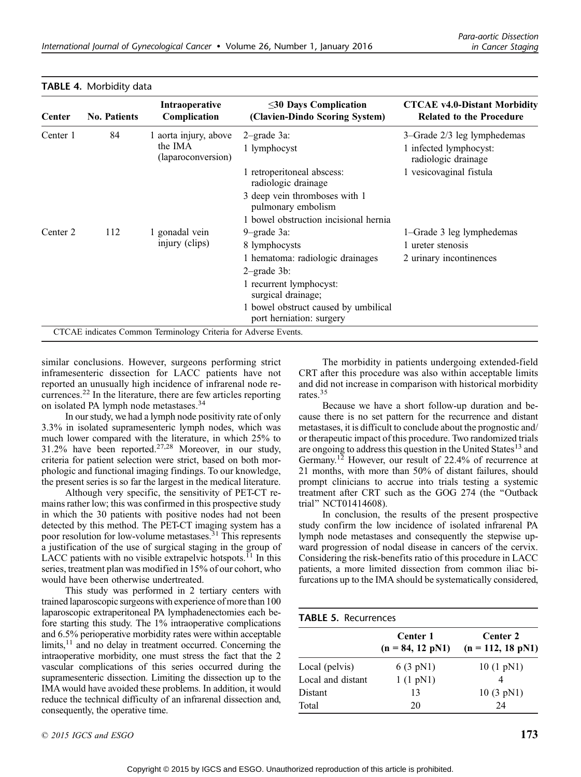| Center   | <b>No. Patients</b> | Intraoperative<br>Complication                                  | $\leq$ 30 Days Complication<br>(Clavien-Dindo Scoring System)    | <b>CTCAE v4.0-Distant Morbidity</b><br><b>Related to the Procedure</b> |
|----------|---------------------|-----------------------------------------------------------------|------------------------------------------------------------------|------------------------------------------------------------------------|
| Center 1 | 84                  | 1 aorta injury, above                                           | $2$ -grade $3a$ :                                                | 3–Grade 2/3 leg lymphedemas                                            |
|          |                     | the IMA<br>(laparoconversion)                                   | 1 lymphocyst                                                     | 1 infected lymphocyst:<br>radiologic drainage                          |
|          |                     |                                                                 | 1 retroperitoneal abscess:<br>radiologic drainage                | 1 vesicovaginal fistula                                                |
|          |                     |                                                                 | 3 deep vein thromboses with 1<br>pulmonary embolism              |                                                                        |
|          |                     |                                                                 | 1 bowel obstruction incisional hernia                            |                                                                        |
| Center 2 | 112                 | 1 gonadal vein<br>injury (clips)                                | 9-grade 3a:                                                      | 1–Grade 3 leg lymphedemas                                              |
|          |                     |                                                                 | 8 lymphocysts                                                    | 1 ureter stenosis                                                      |
|          |                     |                                                                 | 1 hematoma: radiologic drainages<br>$2$ -grade $3b$ :            | 2 urinary incontinences                                                |
|          |                     |                                                                 | 1 recurrent lymphocyst:<br>surgical drainage;                    |                                                                        |
|          |                     |                                                                 | 1 bowel obstruct caused by umbilical<br>port herniation: surgery |                                                                        |
|          |                     | CTCAE indicates Common Terminology Criteria for Adverse Events. |                                                                  |                                                                        |

#### TABLE 4. Morbidity data

similar conclusions. However, surgeons performing strict inframesenteric dissection for LACC patients have not reported an unusually high incidence of infrarenal node recurrences.<sup>22</sup> In the literature, there are few articles reporting on isolated PA lymph node metastases.<sup>34</sup>

In our study, we had a lymph node positivity rate of only 3.3% in isolated supramesenteric lymph nodes, which was much lower compared with the literature, in which 25% to  $31.2\%$  have been reported.<sup>27,28</sup> Moreover, in our study, criteria for patient selection were strict, based on both morphologic and functional imaging findings. To our knowledge, the present series is so far the largest in the medical literature.

Although very specific, the sensitivity of PET-CT remains rather low; this was confirmed in this prospective study in which the 30 patients with positive nodes had not been detected by this method. The PET-CT imaging system has a poor resolution for low-volume metastases.<sup>31</sup> This represents a justification of the use of surgical staging in the group of LACC patients with no visible extrapelvic hotspots. $^{11}$  In this series, treatment plan was modified in 15% of our cohort, who would have been otherwise undertreated.

This study was performed in 2 tertiary centers with trained laparoscopic surgeons with experience of more than 100 laparoscopic extraperitoneal PA lymphadenectomies each before starting this study. The 1% intraoperative complications and 6.5% perioperative morbidity rates were within acceptable limits,<sup>11</sup> and no delay in treatment occurred. Concerning the intraoperative morbidity, one must stress the fact that the 2 vascular complications of this series occurred during the supramesenteric dissection. Limiting the dissection up to the IMA would have avoided these problems. In addition, it would reduce the technical difficulty of an infrarenal dissection and, consequently, the operative time.

 $\degree$  2015 IGCS and ESGO 173

The morbidity in patients undergoing extended-field CRT after this procedure was also within acceptable limits and did not increase in comparison with historical morbidity rates.<sup>35</sup>

Because we have a short follow-up duration and because there is no set pattern for the recurrence and distant metastases, it is difficult to conclude about the prognostic and/ or therapeutic impact of this procedure. Two randomized trials are ongoing to address this question in the United States<sup>13</sup> and Germany.<sup>12</sup> However, our result of 22.4% of recurrence at 21 months, with more than 50% of distant failures, should prompt clinicians to accrue into trials testing a systemic treatment after CRT such as the GOG 274 (the ''Outback trial'' NCT01414608).

In conclusion, the results of the present prospective study confirm the low incidence of isolated infrarenal PA lymph node metastases and consequently the stepwise upward progression of nodal disease in cancers of the cervix. Considering the risk-benefits ratio of this procedure in LACC patients, a more limited dissection from common iliac bifurcations up to the IMA should be systematically considered,

| <b>TABLE 5. Recurrences</b> |                                |                                 |  |
|-----------------------------|--------------------------------|---------------------------------|--|
|                             | Center 1<br>$(n = 84, 12 pN1)$ | Center 2<br>$(n = 112, 18 pN1)$ |  |
| Local (pelvis)              | 6 $(3 pN1)$                    | 10 $(1 pN1)$                    |  |
| Local and distant           | 1(1 pN1)                       |                                 |  |
| Distant                     | 13                             | 10(3 pN1)                       |  |
| Total                       | 20                             | 24                              |  |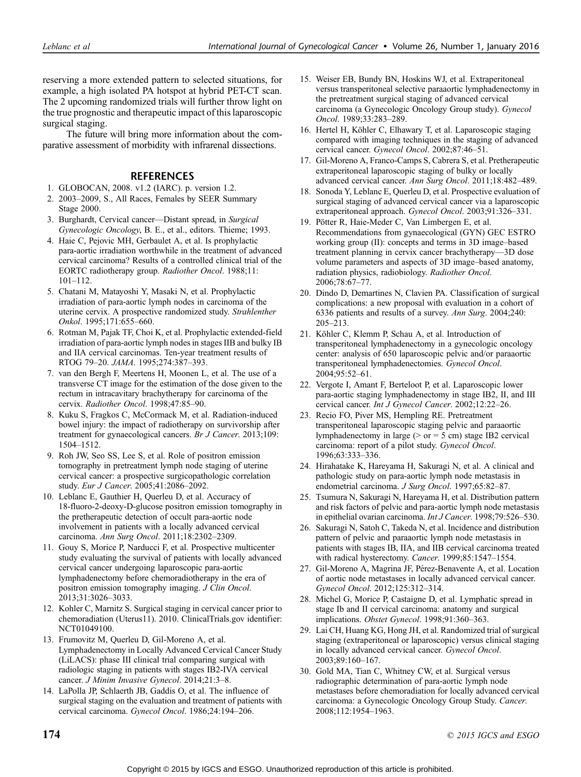reserving a more extended pattern to selected situations, for example, a high isolated PA hotspot at hybrid PET-CT scan. The 2 upcoming randomized trials will further throw light on the true prognostic and therapeutic impact of this laparoscopic surgical staging.

The future will bring more information about the comparative assessment of morbidity with infrarenal dissections.

### REFERENCES

- 1. GLOBOCAN, 2008. v1.2 (IARC). p. version 1.2.
- 2. 2003-2009, S., All Races, Females by SEER Summary Stage 2000.
- 3. Burghardt, Cervical cancer-Distant spread, in Surgical Gynecologic Oncology, B. E., et al., editors. Thieme; 1993.
- 4. Haie C, Pejovic MH, Gerbaulet A, et al. Is prophylactic para-aortic irradiation worthwhile in the treatment of advanced cervical carcinoma? Results of a controlled clinical trial of the EORTC radiotherapy group. Radiother Oncol. 1988;11:  $101 - 112$ .
- 5. Chatani M, Matayoshi Y, Masaki N, et al. Prophylactic irradiation of para-aortic lymph nodes in carcinoma of the uterine cervix. A prospective randomized study. Strahlenther Onkol. 1995;171:655-660.
- 6. Rotman M, Pajak TF, Choi K, et al. Prophylactic extended-field irradiation of para-aortic lymph nodes in stages IIB and bulky IB and IIA cervical carcinomas. Ten-year treatment results of RTOG 79-20. JAMA. 1995;274:387-393.
- 7. van den Bergh F, Meertens H, Moonen L, et al. The use of a transverse CT image for the estimation of the dose given to the rectum in intracavitary brachytherapy for carcinoma of the cervix. Radiother Oncol. 1998;47:85-90.
- 8. Kuku S, Fragkos C, McCormack M, et al. Radiation-induced bowel injury: the impact of radiotherapy on survivorship after treatment for gynaecological cancers. Br J Cancer. 2013;109: 1504-1512.
- 9. Roh JW, Seo SS, Lee S, et al. Role of positron emission tomography in pretreatment lymph node staging of uterine cervical cancer: a prospective surgicopathologic correlation study. Eur J Cancer. 2005;41:2086–2092.
- 10. Leblanc E, Gauthier H, Querleu D, et al. Accuracy of 18-fluoro-2-deoxy-D-glucose positron emission tomography in the pretherapeutic detection of occult para-aortic node involvement in patients with a locally advanced cervical carcinoma. Ann Surg Oncol. 2011;18:2302-2309.
- 11. Gouy S, Morice P, Narducci F, et al. Prospective multicenter study evaluating the survival of patients with locally advanced cervical cancer undergoing laparoscopic para-aortic lymphadenectomy before chemoradiotherapy in the era of positron emission tomography imaging. J Clin Oncol. 2013;31:3026-3033.
- 12. Kohler C, Marnitz S. Surgical staging in cervical cancer prior to chemoradiation (Uterus11). 2010. ClinicalTrials.gov identifier: NCT01049100.
- 13. Frumovitz M, Querleu D, Gil-Moreno A, et al. Lymphadenectomy in Locally Advanced Cervical Cancer Study (LiLACS): phase III clinical trial comparing surgical with radiologic staging in patients with stages IB2-IVA cervical cancer. J Minim Invasive Gynecol. 2014;21:3-8.
- 14. LaPolla JP, Schlaerth JB, Gaddis O, et al. The influence of surgical staging on the evaluation and treatment of patients with cervical carcinoma. Gynecol Oncol. 1986;24:194-206.
- 15. Weiser EB, Bundy BN, Hoskins WJ, et al. Extraperitoneal versus transperitoneal selective paraaortic lymphadenectomy in the pretreatment surgical staging of advanced cervical carcinoma (a Gynecologic Oncology Group study). Gynecol Oncol. 1989;33:283-289.
- 16. Hertel H, Köhler C, Elhawary T, et al. Laparoscopic staging compared with imaging techniques in the staging of advanced cervical cancer. Gynecol Oncol. 2002;87:46-51.
- 17. Gil-Moreno A, Franco-Camps S, Cabrera S, et al. Pretherapeutic extraperitoneal laparoscopic staging of bulky or locally advanced cervical cancer. Ann Surg Oncol. 2011;18:482-489.
- 18. Sonoda Y, Leblanc E, Querleu D, et al. Prospective evaluation of surgical staging of advanced cervical cancer via a laparoscopic extraperitoneal approach. Gynecol Oncol. 2003;91:326-331.
- 19. Pötter R, Haie-Meder C, Van Limbergen E, et al. Recommendations from gynaecological (GYN) GEC ESTRO working group (II): concepts and terms in 3D image-based treatment planning in cervix cancer brachytherapy-3D dose volume parameters and aspects of 3D image-based anatomy, radiation physics, radiobiology. Radiother Oncol. 2006;78:67-77.
- 20. Dindo D, Demartines N, Clavien PA. Classification of surgical complications: a new proposal with evaluation in a cohort of 6336 patients and results of a survey. Ann Surg. 2004;240:  $205 - 213$ .
- 21. Köhler C, Klemm P, Schau A, et al. Introduction of transperitoneal lymphadenectomy in a gynecologic oncology center: analysis of 650 laparoscopic pelvic and/or paraaortic transperitoneal lymphadenectomies. Gynecol Oncol. 2004;95:52-61.
- 22. Vergote I, Amant F, Berteloot P, et al. Laparoscopic lower para-aortic staging lymphadenectomy in stage IB2, II, and III cervical cancer. Int J Gynecol Cancer. 2002;12:22-26.
- 23. Recio FO, Piver MS, Hempling RE. Pretreatment transperitoneal laparoscopic staging pelvic and paraaortic lymphadenectomy in large ( $>$  or = 5 cm) stage IB2 cervical carcinoma: report of a pilot study. Gynecol Oncol. 1996;63:333-336.
- 24. Hirahatake K, Hareyama H, Sakuragi N, et al. A clinical and pathologic study on para-aortic lymph node metastasis in endometrial carcinoma. J Surg Oncol. 1997;65:82-87.
- 25. Tsumura N, Sakuragi N, Hareyama H, et al. Distribution pattern and risk factors of pelvic and para-aortic lymph node metastasis in epithelial ovarian carcinoma. Int J Cancer. 1998;79:526-530.
- 26. Sakuragi N, Satoh C, Takeda N, et al. Incidence and distribution pattern of pelvic and paraaortic lymph node metastasis in patients with stages IB, IIA, and IIB cervical carcinoma treated with radical hysterectomy. Cancer. 1999;85:1547-1554.
- 27. Gil-Moreno A, Magrina JF, Pérez-Benavente A, et al. Location of aortic node metastases in locally advanced cervical cancer. Gynecol Oncol. 2012;125:312-314.
- 28. Michel G, Morice P, Castaigne D, et al. Lymphatic spread in stage Ib and II cervical carcinoma: anatomy and surgical implications. Obstet Gynecol. 1998;91:360-363.
- 29. Lai CH, Huang KG, Hong JH, et al. Randomized trial of surgical staging (extraperitoneal or laparoscopic) versus clinical staging in locally advanced cervical cancer. Gynecol Oncol. 2003;89:160-167.
- 30. Gold MA, Tian C, Whitney CW, et al. Surgical versus radiographic determination of para-aortic lymph node metastases before chemoradiation for locally advanced cervical carcinoma: a Gynecologic Oncology Group Study. Cancer. 2008;112:1954-1963.